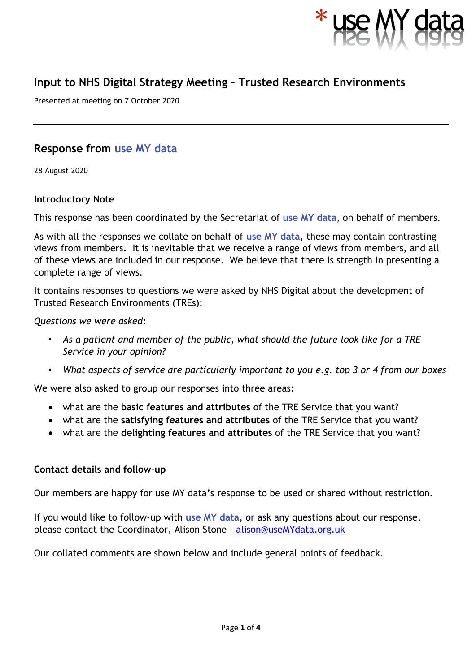

# **Input to NHS Digital Strategy Meeting – Trusted Research Environments**

Presented at meeting on 7 October 2020

## **Response from use MY data**

28 August 2020

#### **Introductory Note**

This response has been coordinated by the Secretariat of **use MY data**, on behalf of members.

As with all the responses we collate on behalf of **use MY data**, these may contain contrasting views from members. It is inevitable that we receive a range of views from members, and all of these views are included in our response. We believe that there is strength in presenting a complete range of views.

It contains responses to questions we were asked by NHS Digital about the development of Trusted Research Environments (TREs):

*Questions we were asked:*

- *As a patient and member of the public, what should the future look like for a TRE Service in your opinion?*
- *What aspects of service are particularly important to you e.g. top 3 or 4 from our boxes*

We were also asked to group our responses into three areas:

- what are the **basic features and attributes** of the TRE Service that you want?
- what are the **satisfying features and attributes** of the TRE Service that you want?
- what are the **delighting features and attributes** of the TRE Service that you want?

#### **Contact details and follow-up**

Our members are happy for use MY data's response to be used or shared without restriction.

If you would like to follow-up with **use MY data**, or ask any questions about our response, please contact the Coordinator, Alison Stone - [alison@useMYdata.org.uk](mailto:alison@useMYdata.org.uk)

Our collated comments are shown below and include general points of feedback.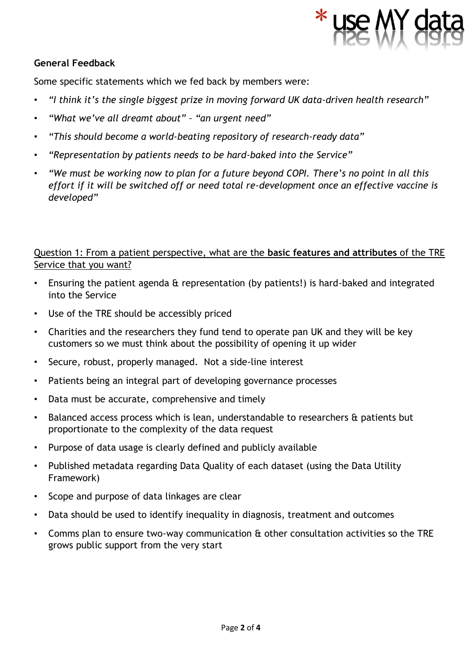

#### **General Feedback**

Some specific statements which we fed back by members were:

- *"I think it's the single biggest prize in moving forward UK data-driven health research"*
- *"What we've all dreamt about" – "an urgent need"*
- *"This should become a world-beating repository of research-ready data"*
- *"Representation by patients needs to be hard-baked into the Service"*
- *"We must be working now to plan for a future beyond COPI. There's no point in all this effort if it will be switched off or need total re-development once an effective vaccine is developed"*

#### Question 1: From a patient perspective, what are the **basic features and attributes** of the TRE Service that you want?

- Ensuring the patient agenda & representation (by patients!) is hard-baked and integrated into the Service
- Use of the TRE should be accessibly priced
- Charities and the researchers they fund tend to operate pan UK and they will be key customers so we must think about the possibility of opening it up wider
- Secure, robust, properly managed. Not a side-line interest
- Patients being an integral part of developing governance processes
- Data must be accurate, comprehensive and timely
- Balanced access process which is lean, understandable to researchers & patients but proportionate to the complexity of the data request
- Purpose of data usage is clearly defined and publicly available
- Published metadata regarding Data Quality of each dataset (using the Data Utility Framework)
- Scope and purpose of data linkages are clear
- Data should be used to identify inequality in diagnosis, treatment and outcomes
- Comms plan to ensure two-way communication & other consultation activities so the TRE grows public support from the very start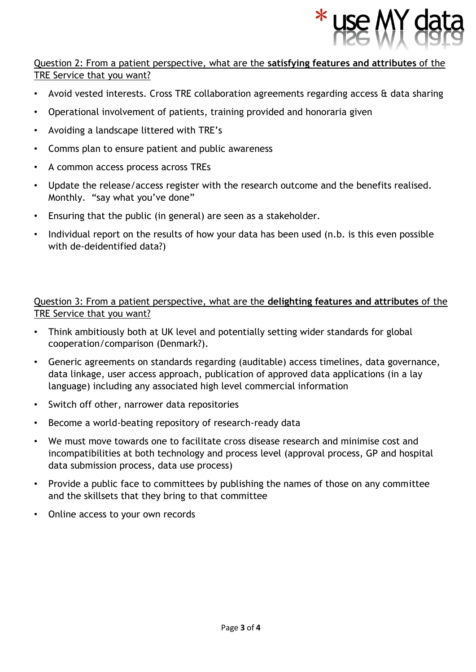

#### Question 2: From a patient perspective, what are the **satisfying features and attributes** of the TRE Service that you want?

- Avoid vested interests. Cross TRE collaboration agreements regarding access & data sharing
- Operational involvement of patients, training provided and honoraria given
- Avoiding a landscape littered with TRE's
- Comms plan to ensure patient and public awareness
- A common access process across TREs
- Update the release/access register with the research outcome and the benefits realised. Monthly. "say what you've done"
- Ensuring that the public (in general) are seen as a stakeholder.
- Individual report on the results of how your data has been used (n.b. is this even possible with de-deidentified data?)

### Question 3: From a patient perspective, what are the **delighting features and attributes** of the TRE Service that you want?

- Think ambitiously both at UK level and potentially setting wider standards for global cooperation/comparison (Denmark?).
- Generic agreements on standards regarding (auditable) access timelines, data governance, data linkage, user access approach, publication of approved data applications (in a lay language) including any associated high level commercial information
- Switch off other, narrower data repositories
- Become a world-beating repository of research-ready data
- We must move towards one to facilitate cross disease research and minimise cost and incompatibilities at both technology and process level (approval process, GP and hospital data submission process, data use process)
- Provide a public face to committees by publishing the names of those on any committee and the skillsets that they bring to that committee
- Online access to your own records